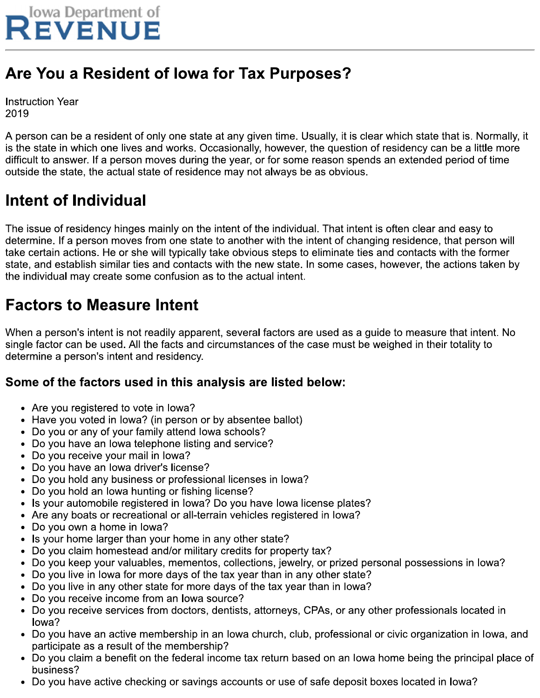

# Are You a Resident of Iowa for Tax Purposes?

**Instruction Year** 2019

A person can be a resident of only one state at any given time. Usually, it is clear which state that is. Normally, it is the state in which one lives and works. Occasionally, however, the question of residency can be a little more difficult to answer. If a person moves during the year, or for some reason spends an extended period of time outside the state, the actual state of residence may not always be as obvious.

# Intent of Individual

The issue of residency hinges mainly on the intent of the individual. That intent is often clear and easy to determine. If a person moves from one state to another with the intent of changing residence, that person will take certain actions. He or she will typically take obvious steps to eliminate ties and contacts with the former state, and establish similar ties and contacts with the new state. In some cases, however, the actions taken by the individual may create some confusion as to the actual intent.

### **Factors to Measure Intent**

When a person's intent is not readily apparent, several factors are used as a guide to measure that intent. No single factor can be used. All the facts and circumstances of the case must be weighed in their totality to determine a person's intent and residency.

### Some of the factors used in this analysis are listed below:

- Are you registered to vote in lowa?
- Have you voted in lowa? (in person or by absentee ballot)
- Do you or any of your family attend lowa schools?
- Do you have an lowa telephone listing and service?
- Do you receive your mail in lowa?
- Do you have an lowa driver's license?
- Do you hold any business or professional licenses in lowa?
- Do you hold an lowa hunting or fishing license?
- Is your automobile registered in lowa? Do you have lowa license plates?  $\bullet$
- Are any boats or recreational or all-terrain vehicles registered in lowa?
- Do you own a home in lowa?
- Is your home larger than your home in any other state?
- Do you claim homestead and/or military credits for property tax?
- Do you keep your valuables, mementos, collections, jewelry, or prized personal possessions in lowa?
- Do you live in lowa for more days of the tax year than in any other state?
- Do you live in any other state for more days of the tax year than in lowa?
- Do you receive income from an lowa source?
- Do you receive services from doctors, dentists, attorneys, CPAs, or any other professionals located in lowa?
- Do you have an active membership in an lowa church, club, professional or civic organization in lowa, and participate as a result of the membership?
- Do you claim a benefit on the federal income tax return based on an lowa home being the principal place of business?
- Do you have active checking or savings accounts or use of safe deposit boxes located in lowa?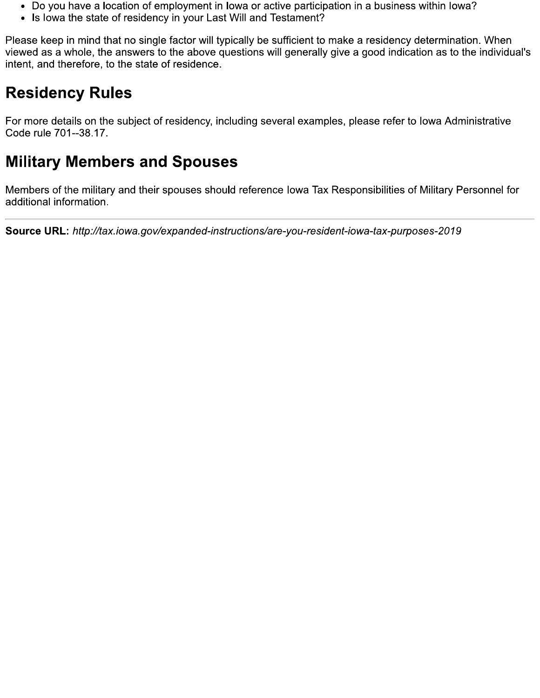- Do you have a location of employment in lowa or active participation in a business within lowa?
- Is lowa the state of residency in your Last Will and Testament?

Please keep in mind that no single factor will typically be sufficient to make a residency determination. When viewed as a whole, the answers to the above questions will generally give a good indication as to the individual's intent, and therefore, to the state of residence.

# **Residency Rules**

For more details on the subject of residency, including several examples, please refer to Iowa Administrative Code rule 701--38.17.

### **Military Members and Spouses**

Members of the military and their spouses should reference lowa Tax Responsibilities of Military Personnel for additional information.

Source URL: http://tax.iowa.gov/expanded-instructions/are-you-resident-iowa-tax-purposes-2019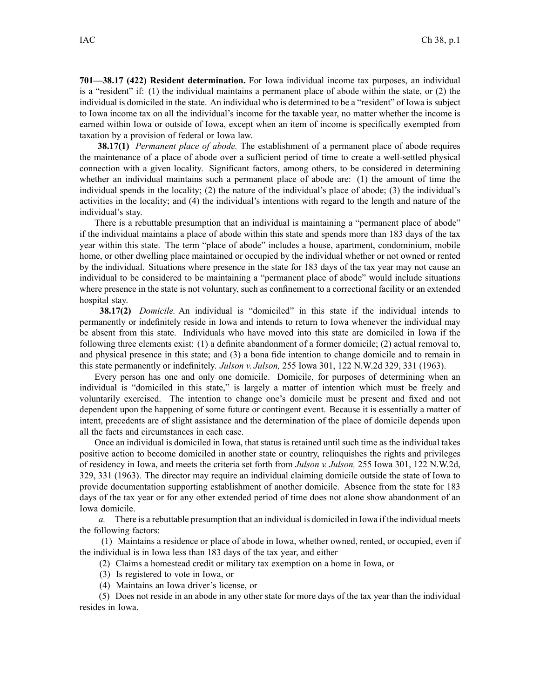**701—38.17 (422) Resident determination.** For Iowa individual income tax purposes, an individual is <sup>a</sup> "resident" if: (1) the individual maintains <sup>a</sup> permanen<sup>t</sup> place of abode within the state, or (2) the individual is domiciled in the state. An individual who is determined to be <sup>a</sup> "resident" of Iowa is subject to Iowa income tax on all the individual's income for the taxable year, no matter whether the income is earned within Iowa or outside of Iowa, excep<sup>t</sup> when an item of income is specifically exempted from taxation by <sup>a</sup> provision of federal or Iowa law.

**38.17(1)** *Permanent place of abode.* The establishment of <sup>a</sup> permanen<sup>t</sup> place of abode requires the maintenance of <sup>a</sup> place of abode over <sup>a</sup> sufficient period of time to create <sup>a</sup> well-settled physical connection with <sup>a</sup> given locality. Significant factors, among others, to be considered in determining whether an individual maintains such <sup>a</sup> permanen<sup>t</sup> place of abode are: (1) the amount of time the individual spends in the locality; (2) the nature of the individual's place of abode; (3) the individual's activities in the locality; and (4) the individual's intentions with regard to the length and nature of the individual's stay.

There is <sup>a</sup> rebuttable presumption that an individual is maintaining <sup>a</sup> "permanent place of abode" if the individual maintains <sup>a</sup> place of abode within this state and spends more than 183 days of the tax year within this state. The term "place of abode" includes <sup>a</sup> house, apartment, condominium, mobile home, or other dwelling place maintained or occupied by the individual whether or not owned or rented by the individual. Situations where presence in the state for 183 days of the tax year may not cause an individual to be considered to be maintaining <sup>a</sup> "permanent place of abode" would include situations where presence in the state is not voluntary, such as confinement to <sup>a</sup> correctional facility or an extended hospital stay.

**38.17(2)** *Domicile.* An individual is "domiciled" in this state if the individual intends to permanently or indefinitely reside in Iowa and intends to return to Iowa whenever the individual may be absent from this state. Individuals who have moved into this state are domiciled in Iowa if the following three elements exist: (1) <sup>a</sup> definite abandonment of <sup>a</sup> former domicile; (2) actual removal to, and physical presence in this state; and (3) <sup>a</sup> bona fide intention to change domicile and to remain in this state permanently or indefinitely. *Julson v. Julson,* 255 Iowa 301, 122 N.W.2d 329, 331 (1963).

Every person has one and only one domicile. Domicile, for purposes of determining when an individual is "domiciled in this state," is largely <sup>a</sup> matter of intention which must be freely and voluntarily exercised. The intention to change one's domicile must be presen<sup>t</sup> and fixed and not dependent upon the happening of some future or contingent event. Because it is essentially <sup>a</sup> matter of intent, precedents are of slight assistance and the determination of the place of domicile depends upon all the facts and circumstances in each case.

Once an individual is domiciled in Iowa, that status is retained until such time as the individual takes positive action to become domiciled in another state or country, relinquishes the rights and privileges of residency in Iowa, and meets the criteria set forth from *Julson v. Julson,* 255 Iowa 301, 122 N.W.2d, 329, 331 (1963). The director may require an individual claiming domicile outside the state of Iowa to provide documentation supporting establishment of another domicile. Absence from the state for 183 days of the tax year or for any other extended period of time does not alone show abandonment of an Iowa domicile.

*a.* There is <sup>a</sup> rebuttable presumption that an individual is domiciled in Iowa if the individual meets the following factors:

(1) Maintains <sup>a</sup> residence or place of abode in Iowa, whether owned, rented, or occupied, even if the individual is in Iowa less than 183 days of the tax year, and either

- (2) Claims <sup>a</sup> homestead credit or military tax exemption on <sup>a</sup> home in Iowa, or
- (3) Is registered to vote in Iowa, or
- (4) Maintains an Iowa driver's license, or

(5) Does not reside in an abode in any other state for more days of the tax year than the individual resides in Iowa.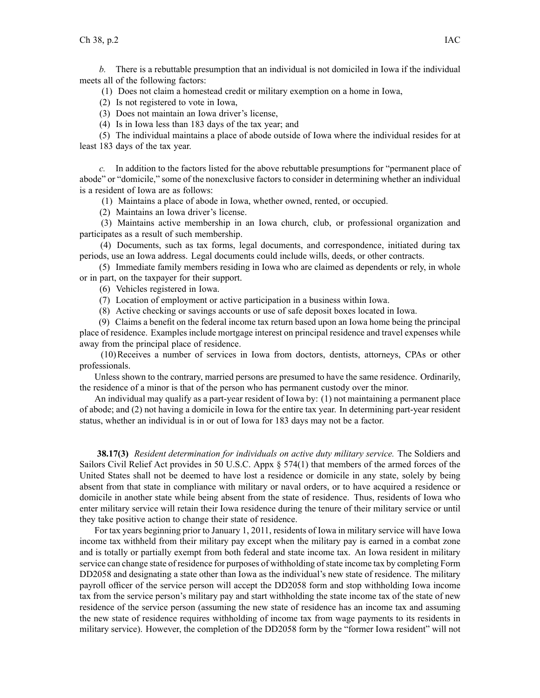*b.* There is <sup>a</sup> rebuttable presumption that an individual is not domiciled in Iowa if the individual meets all of the following factors:

(1) Does not claim <sup>a</sup> homestead credit or military exemption on <sup>a</sup> home in Iowa,

- (2) Is not registered to vote in Iowa,
- (3) Does not maintain an Iowa driver's license,
- (4) Is in Iowa less than 183 days of the tax year; and

(5) The individual maintains <sup>a</sup> place of abode outside of Iowa where the individual resides for at least 183 days of the tax year.

*c.* In addition to the factors listed for the above rebuttable presumptions for "permanent place of abode" or "domicile," some of the nonexclusive factors to consider in determining whether an individual is <sup>a</sup> resident of Iowa are as follows:

(1) Maintains <sup>a</sup> place of abode in Iowa, whether owned, rented, or occupied.

(2) Maintains an Iowa driver's license.

(3) Maintains active membership in an Iowa church, club, or professional organization and participates as <sup>a</sup> result of such membership.

(4) Documents, such as tax forms, legal documents, and correspondence, initiated during tax periods, use an Iowa address. Legal documents could include wills, deeds, or other contracts.

(5) Immediate family members residing in Iowa who are claimed as dependents or rely, in whole or in part, on the taxpayer for their support.

(6) Vehicles registered in Iowa.

- (7) Location of employment or active participation in <sup>a</sup> business within Iowa.
- (8) Active checking or savings accounts or use of safe deposit boxes located in Iowa.

(9) Claims <sup>a</sup> benefit on the federal income tax return based upon an Iowa home being the principal place of residence. Examples include mortgage interest on principal residence and travel expenses while away from the principal place of residence.

(10)Receives <sup>a</sup> number of services in Iowa from doctors, dentists, attorneys, CPAs or other professionals.

Unless shown to the contrary, married persons are presumed to have the same residence. Ordinarily, the residence of <sup>a</sup> minor is that of the person who has permanen<sup>t</sup> custody over the minor.

An individual may qualify as <sup>a</sup> part-year resident of Iowa by: (1) not maintaining <sup>a</sup> permanen<sup>t</sup> place of abode; and (2) not having <sup>a</sup> domicile in Iowa for the entire tax year. In determining part-year resident status, whether an individual is in or out of Iowa for 183 days may not be <sup>a</sup> factor.

**38.17(3)** *Resident determination for individuals on active duty military service.* The Soldiers and Sailors Civil Relief Act provides in 50 U.S.C. Appx § 574(1) that members of the armed forces of the United States shall not be deemed to have lost <sup>a</sup> residence or domicile in any state, solely by being absent from that state in compliance with military or naval orders, or to have acquired <sup>a</sup> residence or domicile in another state while being absent from the state of residence. Thus, residents of Iowa who enter military service will retain their Iowa residence during the tenure of their military service or until they take positive action to change their state of residence.

For tax years beginning prior to January 1, 2011, residents of Iowa in military service will have Iowa income tax withheld from their military pay excep<sup>t</sup> when the military pay is earned in <sup>a</sup> combat zone and is totally or partially exemp<sup>t</sup> from both federal and state income tax. An Iowa resident in military service can change state of residence for purposes of withholding of state income tax by completing Form DD2058 and designating <sup>a</sup> state other than Iowa as the individual's new state of residence. The military payroll officer of the service person will accep<sup>t</sup> the DD2058 form and stop withholding Iowa income tax from the service person's military pay and start withholding the state income tax of the state of new residence of the service person (assuming the new state of residence has an income tax and assuming the new state of residence requires withholding of income tax from wage payments to its residents in military service). However, the completion of the DD2058 form by the "former Iowa resident" will not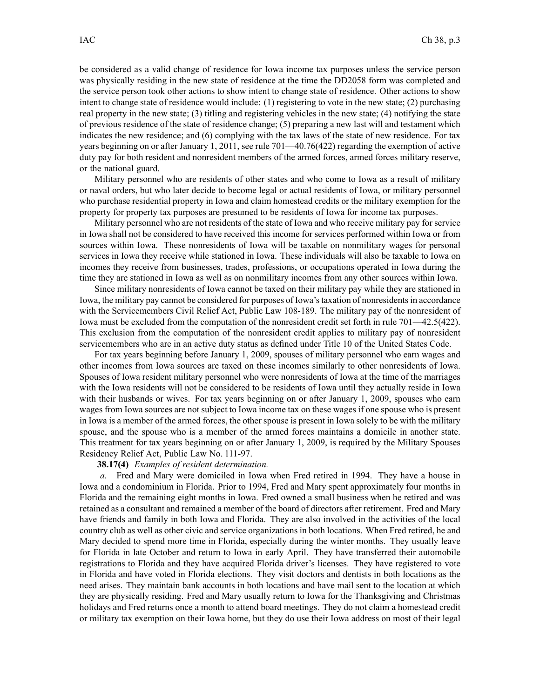be considered as <sup>a</sup> valid change of residence for Iowa income tax purposes unless the service person was physically residing in the new state of residence at the time the DD2058 form was completed and the service person took other actions to show intent to change state of residence. Other actions to show intent to change state of residence would include: (1) registering to vote in the new state; (2) purchasing real property in the new state; (3) titling and registering vehicles in the new state; (4) notifying the state of previous residence of the state of residence change; (5) preparing <sup>a</sup> new last will and testament which indicates the new residence; and (6) complying with the tax laws of the state of new residence. For tax years beginning on or after January 1, 2011, see rule 701—40.76(422) regarding the exemption of active duty pay for both resident and nonresident members of the armed forces, armed forces military reserve, or the national guard.

Military personnel who are residents of other states and who come to Iowa as <sup>a</sup> result of military or naval orders, but who later decide to become legal or actual residents of Iowa, or military personnel who purchase residential property in Iowa and claim homestead credits or the military exemption for the property for property tax purposes are presumed to be residents of Iowa for income tax purposes.

Military personnel who are not residents of the state of Iowa and who receive military pay for service in Iowa shall not be considered to have received this income for services performed within Iowa or from sources within Iowa. These nonresidents of Iowa will be taxable on nonmilitary wages for personal services in Iowa they receive while stationed in Iowa. These individuals will also be taxable to Iowa on incomes they receive from businesses, trades, professions, or occupations operated in Iowa during the time they are stationed in Iowa as well as on nonmilitary incomes from any other sources within Iowa.

Since military nonresidents of Iowa cannot be taxed on their military pay while they are stationed in Iowa, the military pay cannot be considered for purposes of Iowa'staxation of nonresidentsin accordance with the Servicemembers Civil Relief Act, Public Law 108-189. The military pay of the nonresident of Iowa must be excluded from the computation of the nonresident credit set forth in rule 701—42.5(422). This exclusion from the computation of the nonresident credit applies to military pay of nonresident servicemembers who are in an active duty status as defined under Title 10 of the United States Code.

For tax years beginning before January 1, 2009, spouses of military personnel who earn wages and other incomes from Iowa sources are taxed on these incomes similarly to other nonresidents of Iowa. Spouses of Iowa resident military personnel who were nonresidents of Iowa at the time of the marriages with the Iowa residents will not be considered to be residents of Iowa until they actually reside in Iowa with their husbands or wives. For tax years beginning on or after January 1, 2009, spouses who earn wages from Iowa sources are not subject to Iowa income tax on these wages if one spouse who is presen<sup>t</sup> in Iowa is <sup>a</sup> member of the armed forces, the other spouse is presen<sup>t</sup> in Iowa solely to be with the military spouse, and the spouse who is <sup>a</sup> member of the armed forces maintains <sup>a</sup> domicile in another state. This treatment for tax years beginning on or after January 1, 2009, is required by the Military Spouses Residency Relief Act, Public Law No. 111-97.

#### **38.17(4)** *Examples of resident determination.*

*a.* Fred and Mary were domiciled in Iowa when Fred retired in 1994. They have <sup>a</sup> house in Iowa and <sup>a</sup> condominium in Florida. Prior to 1994, Fred and Mary spen<sup>t</sup> approximately four months in Florida and the remaining eight months in Iowa. Fred owned <sup>a</sup> small business when he retired and was retained as <sup>a</sup> consultant and remained <sup>a</sup> member of the board of directors after retirement. Fred and Mary have friends and family in both Iowa and Florida. They are also involved in the activities of the local country club as well as other civic and service organizations in both locations. When Fred retired, he and Mary decided to spend more time in Florida, especially during the winter months. They usually leave for Florida in late October and return to Iowa in early April. They have transferred their automobile registrations to Florida and they have acquired Florida driver's licenses. They have registered to vote in Florida and have voted in Florida elections. They visit doctors and dentists in both locations as the need arises. They maintain bank accounts in both locations and have mail sent to the location at which they are physically residing. Fred and Mary usually return to Iowa for the Thanksgiving and Christmas holidays and Fred returns once <sup>a</sup> month to attend board meetings. They do not claim <sup>a</sup> homestead credit or military tax exemption on their Iowa home, but they do use their Iowa address on most of their legal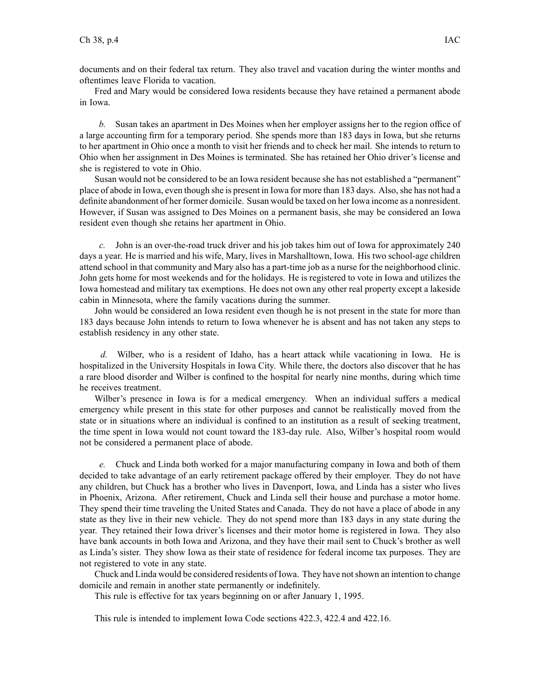documents and on their federal tax return. They also travel and vacation during the winter months and oftentimes leave Florida to vacation.

Fred and Mary would be considered Iowa residents because they have retained <sup>a</sup> permanen<sup>t</sup> abode in Iowa.

*b.* Susan takes an apartment in Des Moines when her employer assigns her to the region office of <sup>a</sup> large accounting firm for <sup>a</sup> temporary period. She spends more than 183 days in Iowa, but she returns to her apartment in Ohio once <sup>a</sup> month to visit her friends and to check her mail. She intends to return to Ohio when her assignment in Des Moines is terminated. She has retained her Ohio driver's license and she is registered to vote in Ohio.

Susan would not be considered to be an Iowa resident because she has not established <sup>a</sup> "permanent" place of abode in Iowa, even though she is present in Iowa for more than 183 days. Also, she has not had a definite abandonment of her former domicile. Susan would be taxed on her Iowa income as <sup>a</sup> nonresident. However, if Susan was assigned to Des Moines on <sup>a</sup> permanen<sup>t</sup> basis, she may be considered an Iowa resident even though she retains her apartment in Ohio.

*c.* John is an over-the-road truck driver and his job takes him out of Iowa for approximately 240 days <sup>a</sup> year. He is married and his wife, Mary, lives in Marshalltown, Iowa. His two school-age children attend school in that community and Mary also has <sup>a</sup> part-time job as <sup>a</sup> nurse for the neighborhood clinic. John gets home for most weekends and for the holidays. He is registered to vote in Iowa and utilizes the Iowa homestead and military tax exemptions. He does not own any other real property excep<sup>t</sup> <sup>a</sup> lakeside cabin in Minnesota, where the family vacations during the summer.

John would be considered an Iowa resident even though he is not presen<sup>t</sup> in the state for more than 183 days because John intends to return to Iowa whenever he is absent and has not taken any steps to establish residency in any other state.

*d.* Wilber, who is <sup>a</sup> resident of Idaho, has <sup>a</sup> heart attack while vacationing in Iowa. He is hospitalized in the University Hospitals in Iowa City. While there, the doctors also discover that he has <sup>a</sup> rare blood disorder and Wilber is confined to the hospital for nearly nine months, during which time he receives treatment.

Wilber's presence in Iowa is for <sup>a</sup> medical emergency. When an individual suffers <sup>a</sup> medical emergency while presen<sup>t</sup> in this state for other purposes and cannot be realistically moved from the state or in situations where an individual is confined to an institution as <sup>a</sup> result of seeking treatment, the time spen<sup>t</sup> in Iowa would not count toward the 183-day rule. Also, Wilber's hospital room would not be considered <sup>a</sup> permanen<sup>t</sup> place of abode.

*e.* Chuck and Linda both worked for <sup>a</sup> major manufacturing company in Iowa and both of them decided to take advantage of an early retirement package offered by their employer. They do not have any children, but Chuck has <sup>a</sup> brother who lives in Davenport, Iowa, and Linda has <sup>a</sup> sister who lives in Phoenix, Arizona. After retirement, Chuck and Linda sell their house and purchase <sup>a</sup> motor home. They spend their time traveling the United States and Canada. They do not have <sup>a</sup> place of abode in any state as they live in their new vehicle. They do not spend more than 183 days in any state during the year. They retained their Iowa driver's licenses and their motor home is registered in Iowa. They also have bank accounts in both Iowa and Arizona, and they have their mail sent to Chuck's brother as well as Linda's sister. They show Iowa as their state of residence for federal income tax purposes. They are not registered to vote in any state.

Chuck and Linda would be considered residents of Iowa. They have notshown an intention to change domicile and remain in another state permanently or indefinitely.

This rule is effective for tax years beginning on or after January 1, 1995.

This rule is intended to implement Iowa Code sections 422.3, 422.4 and 422.16.